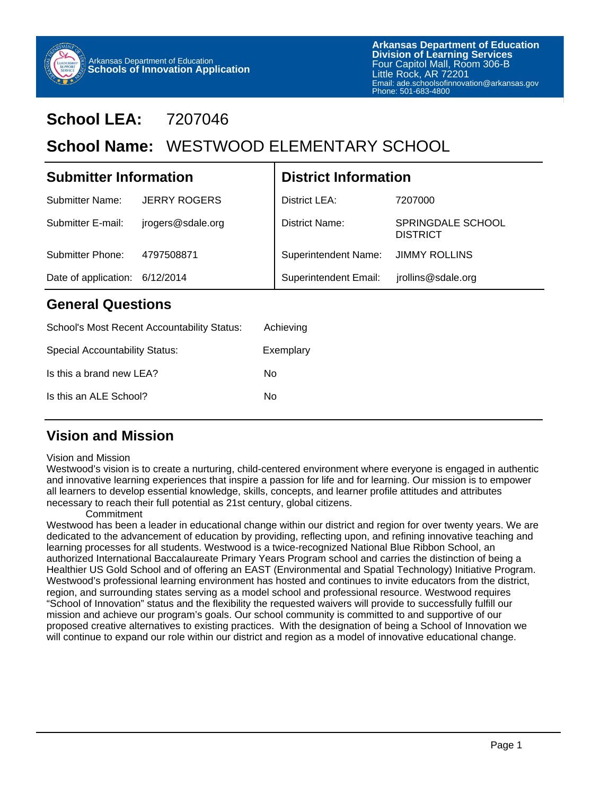

## **School LEA:** 7207046

## School Name: WESTWOOD ELEMENTARY SCHOOL

| <b>Submitter Information</b> |                     | <b>District Information</b>  |                                             |
|------------------------------|---------------------|------------------------------|---------------------------------------------|
| Submitter Name:              | <b>JERRY ROGERS</b> | District LEA:                | 7207000                                     |
| Submitter E-mail:            | jrogers@sdale.org   | District Name:               | <b>SPRINGDALE SCHOOL</b><br><b>DISTRICT</b> |
| Submitter Phone:             | 4797508871          | <b>Superintendent Name:</b>  | <b>JIMMY ROLLINS</b>                        |
| Date of application:         | 6/12/2014           | <b>Superintendent Email:</b> | jrollins@sdale.org                          |
|                              |                     |                              |                                             |

#### **General Questions**

| School's Most Recent Accountability Status: | Achieving |
|---------------------------------------------|-----------|
| Special Accountability Status:              | Exemplary |
| Is this a brand new LEA?                    | N٥        |
| Is this an ALE School?                      | N٥        |

### **Vision and Mission**

#### Vision and Mission

Westwood's vision is to create a nurturing, child-centered environment where everyone is engaged in authentic and innovative learning experiences that inspire a passion for life and for learning. Our mission is to empower all learners to develop essential knowledge, skills, concepts, and learner profile attitudes and attributes necessary to reach their full potential as 21st century, global citizens.

#### **Commitment**

Westwood has been a leader in educational change within our district and region for over twenty years. We are dedicated to the advancement of education by providing, reflecting upon, and refining innovative teaching and learning processes for all students. Westwood is a twice-recognized National Blue Ribbon School, an authorized International Baccalaureate Primary Years Program school and carries the distinction of being a Healthier US Gold School and of offering an EAST (Environmental and Spatial Technology) Initiative Program. Westwood's professional learning environment has hosted and continues to invite educators from the district, region, and surrounding states serving as a model school and professional resource. Westwood requires "School of Innovation" status and the flexibility the requested waivers will provide to successfully fulfill our mission and achieve our program's goals. Our school community is committed to and supportive of our proposed creative alternatives to existing practices. With the designation of being a School of Innovation we will continue to expand our role within our district and region as a model of innovative educational change.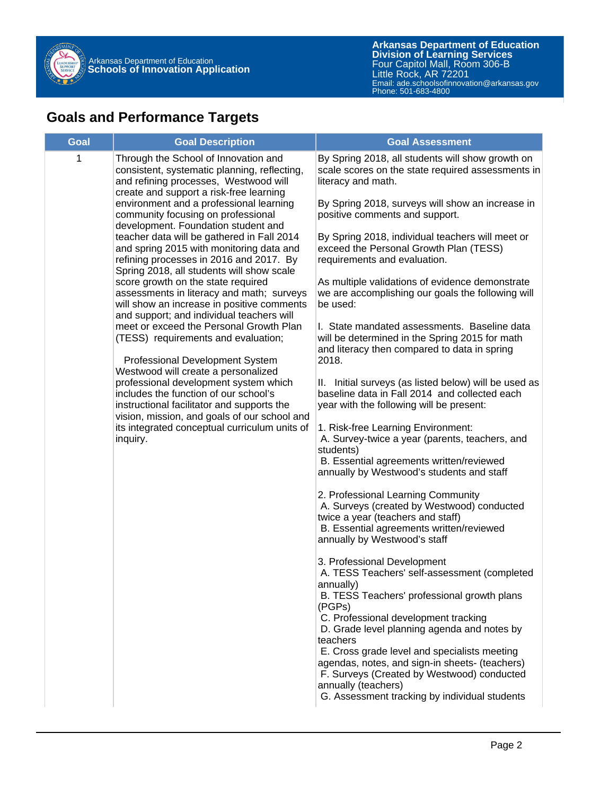

### **Goals and Performance Targets**

| <b>Goal</b> | <b>Goal Description</b>                                                                                                                                                        | <b>Goal Assessment</b>                                                                                                                                                                     |
|-------------|--------------------------------------------------------------------------------------------------------------------------------------------------------------------------------|--------------------------------------------------------------------------------------------------------------------------------------------------------------------------------------------|
| 1           | Through the School of Innovation and<br>consistent, systematic planning, reflecting,<br>and refining processes, Westwood will<br>create and support a risk-free learning       | By Spring 2018, all students will show growth on<br>scale scores on the state required assessments in<br>literacy and math.                                                                |
|             | environment and a professional learning<br>community focusing on professional<br>development. Foundation student and                                                           | By Spring 2018, surveys will show an increase in<br>positive comments and support.                                                                                                         |
|             | teacher data will be gathered in Fall 2014<br>and spring 2015 with monitoring data and<br>refining processes in 2016 and 2017. By<br>Spring 2018, all students will show scale | By Spring 2018, individual teachers will meet or<br>exceed the Personal Growth Plan (TESS)<br>requirements and evaluation.                                                                 |
|             | score growth on the state required<br>assessments in literacy and math; surveys<br>will show an increase in positive comments<br>and support; and individual teachers will     | As multiple validations of evidence demonstrate<br>we are accomplishing our goals the following will<br>be used:                                                                           |
|             | meet or exceed the Personal Growth Plan<br>(TESS) requirements and evaluation;<br>Professional Development System                                                              | I. State mandated assessments. Baseline data<br>will be determined in the Spring 2015 for math<br>and literacy then compared to data in spring<br>2018.                                    |
|             | Westwood will create a personalized                                                                                                                                            |                                                                                                                                                                                            |
|             | professional development system which<br>includes the function of our school's<br>instructional facilitator and supports the<br>vision, mission, and goals of our school and   | II. Initial surveys (as listed below) will be used as<br>baseline data in Fall 2014 and collected each<br>year with the following will be present:                                         |
|             | its integrated conceptual curriculum units of<br>inquiry.                                                                                                                      | 1. Risk-free Learning Environment:<br>A. Survey-twice a year (parents, teachers, and<br>students)<br>B. Essential agreements written/reviewed<br>annually by Westwood's students and staff |
|             |                                                                                                                                                                                | 2. Professional Learning Community<br>A. Surveys (created by Westwood) conducted                                                                                                           |
|             |                                                                                                                                                                                | twice a year (teachers and staff)<br>B. Essential agreements written/reviewed<br>annually by Westwood's staff                                                                              |
|             |                                                                                                                                                                                | 3. Professional Development<br>A. TESS Teachers' self-assessment (completed<br>annually)<br>B. TESS Teachers' professional growth plans                                                    |
|             |                                                                                                                                                                                | (PGPs)<br>C. Professional development tracking<br>D. Grade level planning agenda and notes by<br>teachers                                                                                  |
|             |                                                                                                                                                                                | E. Cross grade level and specialists meeting<br>agendas, notes, and sign-in sheets- (teachers)<br>F. Surveys (Created by Westwood) conducted<br>annually (teachers)                        |
|             |                                                                                                                                                                                | G. Assessment tracking by individual students                                                                                                                                              |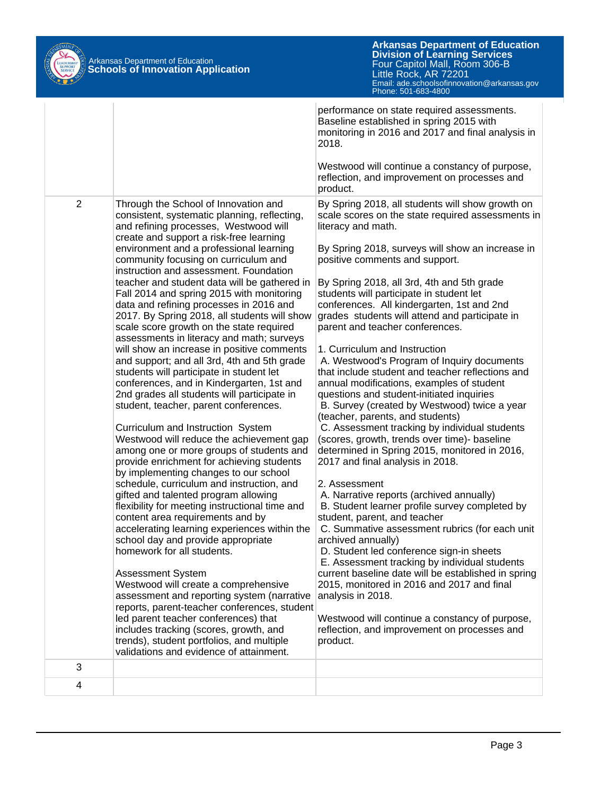

|                |                                                                                                                                                                          | performance on state required assessments.<br>Baseline established in spring 2015 with<br>monitoring in 2016 and 2017 and final analysis in<br>2018.                               |
|----------------|--------------------------------------------------------------------------------------------------------------------------------------------------------------------------|------------------------------------------------------------------------------------------------------------------------------------------------------------------------------------|
|                |                                                                                                                                                                          | Westwood will continue a constancy of purpose,<br>reflection, and improvement on processes and<br>product.                                                                         |
| $\overline{2}$ | Through the School of Innovation and<br>consistent, systematic planning, reflecting,<br>and refining processes, Westwood will<br>create and support a risk-free learning | By Spring 2018, all students will show growth on<br>scale scores on the state required assessments in<br>literacy and math.                                                        |
|                | environment and a professional learning<br>community focusing on curriculum and<br>instruction and assessment. Foundation                                                | By Spring 2018, surveys will show an increase in<br>positive comments and support.                                                                                                 |
|                | teacher and student data will be gathered in<br>Fall 2014 and spring 2015 with monitoring<br>data and refining processes in 2016 and                                     | By Spring 2018, all 3rd, 4th and 5th grade<br>students will participate in student let<br>conferences. All kindergarten, 1st and 2nd                                               |
|                | 2017. By Spring 2018, all students will show<br>scale score growth on the state required<br>assessments in literacy and math; surveys                                    | grades students will attend and participate in<br>parent and teacher conferences.                                                                                                  |
|                | will show an increase in positive comments<br>and support; and all 3rd, 4th and 5th grade<br>students will participate in student let                                    | 1. Curriculum and Instruction<br>A. Westwood's Program of Inquiry documents<br>that include student and teacher reflections and                                                    |
|                | conferences, and in Kindergarten, 1st and<br>2nd grades all students will participate in                                                                                 | annual modifications, examples of student<br>questions and student-initiated inquiries                                                                                             |
|                | student, teacher, parent conferences.                                                                                                                                    | B. Survey (created by Westwood) twice a year<br>(teacher, parents, and students)                                                                                                   |
|                | Curriculum and Instruction System<br>Westwood will reduce the achievement gap<br>among one or more groups of students and<br>provide enrichment for achieving students   | C. Assessment tracking by individual students<br>(scores, growth, trends over time)- baseline<br>determined in Spring 2015, monitored in 2016,<br>2017 and final analysis in 2018. |
|                | by implementing changes to our school<br>schedule, curriculum and instruction, and                                                                                       | 2. Assessment                                                                                                                                                                      |
|                | gifted and talented program allowing<br>flexibility for meeting instructional time and                                                                                   | A. Narrative reports (archived annually)<br>B. Student learner profile survey completed by                                                                                         |
|                | content area requirements and by<br>accelerating learning experiences within the                                                                                         | student, parent, and teacher<br>C. Summative assessment rubrics (for each unit                                                                                                     |
|                | school day and provide appropriate<br>homework for all students.                                                                                                         | archived annually)<br>D. Student led conference sign-in sheets                                                                                                                     |
|                | Assessment System                                                                                                                                                        | E. Assessment tracking by individual students<br>current baseline date will be established in spring                                                                               |
|                | Westwood will create a comprehensive                                                                                                                                     | 2015, monitored in 2016 and 2017 and final                                                                                                                                         |
|                | assessment and reporting system (narrative<br>reports, parent-teacher conferences, student                                                                               | analysis in 2018.                                                                                                                                                                  |
|                | led parent teacher conferences) that<br>includes tracking (scores, growth, and                                                                                           | Westwood will continue a constancy of purpose,<br>reflection, and improvement on processes and                                                                                     |
|                | trends), student portfolios, and multiple<br>validations and evidence of attainment.                                                                                     | product.                                                                                                                                                                           |
| 3              |                                                                                                                                                                          |                                                                                                                                                                                    |
| 4              |                                                                                                                                                                          |                                                                                                                                                                                    |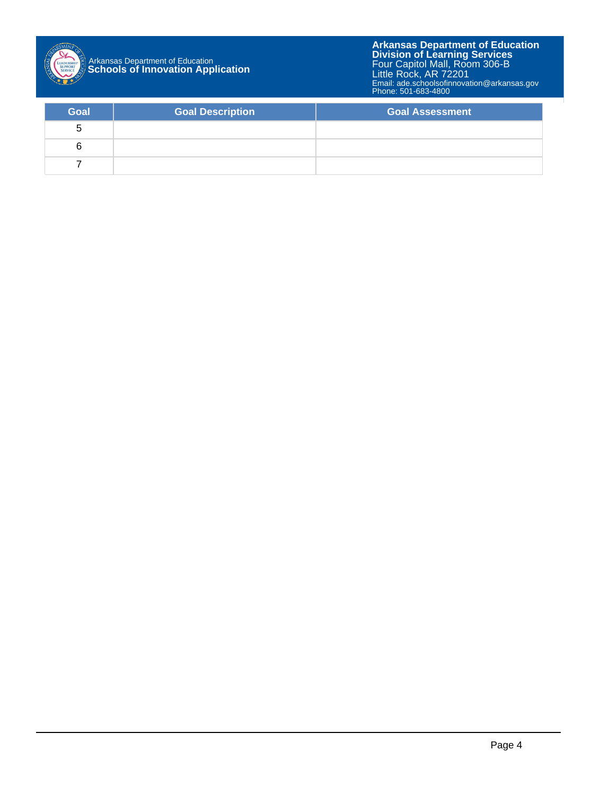

| Goal | <b>Goal Description</b> | <b>Goal Assessment</b> |
|------|-------------------------|------------------------|
| G    |                         |                        |
| b    |                         |                        |
|      |                         |                        |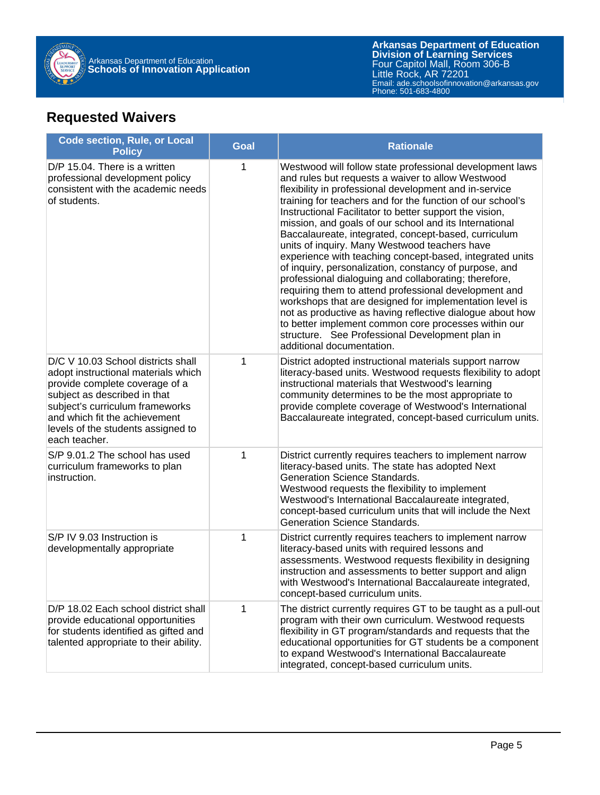

**Arkansas Department of Education** Email: ade.schoolsofinnovation@arkansas.gov **Division of Learning Services** Four Capitol Mall, Room 306-B Little Rock, AR 72201 Phone: 501-683-4800

## **Requested Waivers**

| <b>Code section, Rule, or Local</b><br><b>Policy</b>                                                                                                                                                                                                                   | <b>Goal</b> | <b>Rationale</b>                                                                                                                                                                                                                                                                                                                                                                                                                                                                                                                                                                                                                                                                                                                                                                                                                                                                                                                                                            |
|------------------------------------------------------------------------------------------------------------------------------------------------------------------------------------------------------------------------------------------------------------------------|-------------|-----------------------------------------------------------------------------------------------------------------------------------------------------------------------------------------------------------------------------------------------------------------------------------------------------------------------------------------------------------------------------------------------------------------------------------------------------------------------------------------------------------------------------------------------------------------------------------------------------------------------------------------------------------------------------------------------------------------------------------------------------------------------------------------------------------------------------------------------------------------------------------------------------------------------------------------------------------------------------|
| D/P 15.04. There is a written<br>professional development policy<br>consistent with the academic needs<br>of students.                                                                                                                                                 | 1           | Westwood will follow state professional development laws<br>and rules but requests a waiver to allow Westwood<br>flexibility in professional development and in-service<br>training for teachers and for the function of our school's<br>Instructional Facilitator to better support the vision,<br>mission, and goals of our school and its International<br>Baccalaureate, integrated, concept-based, curriculum<br>units of inquiry. Many Westwood teachers have<br>experience with teaching concept-based, integrated units<br>of inquiry, personalization, constancy of purpose, and<br>professional dialoguing and collaborating; therefore,<br>requiring them to attend professional development and<br>workshops that are designed for implementation level is<br>not as productive as having reflective dialogue about how<br>to better implement common core processes within our<br>structure. See Professional Development plan in<br>additional documentation. |
| D/C V 10.03 School districts shall<br>adopt instructional materials which<br>provide complete coverage of a<br>subject as described in that<br>subject's curriculum frameworks<br>and which fit the achievement<br>levels of the students assigned to<br>each teacher. | 1           | District adopted instructional materials support narrow<br>literacy-based units. Westwood requests flexibility to adopt<br>instructional materials that Westwood's learning<br>community determines to be the most appropriate to<br>provide complete coverage of Westwood's International<br>Baccalaureate integrated, concept-based curriculum units.                                                                                                                                                                                                                                                                                                                                                                                                                                                                                                                                                                                                                     |
| S/P 9.01.2 The school has used<br>curriculum frameworks to plan<br>instruction.                                                                                                                                                                                        | 1           | District currently requires teachers to implement narrow<br>literacy-based units. The state has adopted Next<br><b>Generation Science Standards.</b><br>Westwood requests the flexibility to implement<br>Westwood's International Baccalaureate integrated,<br>concept-based curriculum units that will include the Next<br>Generation Science Standards.                                                                                                                                                                                                                                                                                                                                                                                                                                                                                                                                                                                                                  |
| S/P IV 9.03 Instruction is<br>developmentally appropriate                                                                                                                                                                                                              | 1           | District currently requires teachers to implement narrow<br>literacy-based units with required lessons and<br>assessments. Westwood requests flexibility in designing<br>instruction and assessments to better support and align<br>with Westwood's International Baccalaureate integrated,<br>concept-based curriculum units.                                                                                                                                                                                                                                                                                                                                                                                                                                                                                                                                                                                                                                              |
| D/P 18.02 Each school district shall<br>provide educational opportunities<br>for students identified as gifted and<br>talented appropriate to their ability.                                                                                                           | 1           | The district currently requires GT to be taught as a pull-out<br>program with their own curriculum. Westwood requests<br>flexibility in GT program/standards and requests that the<br>educational opportunities for GT students be a component<br>to expand Westwood's International Baccalaureate<br>integrated, concept-based curriculum units.                                                                                                                                                                                                                                                                                                                                                                                                                                                                                                                                                                                                                           |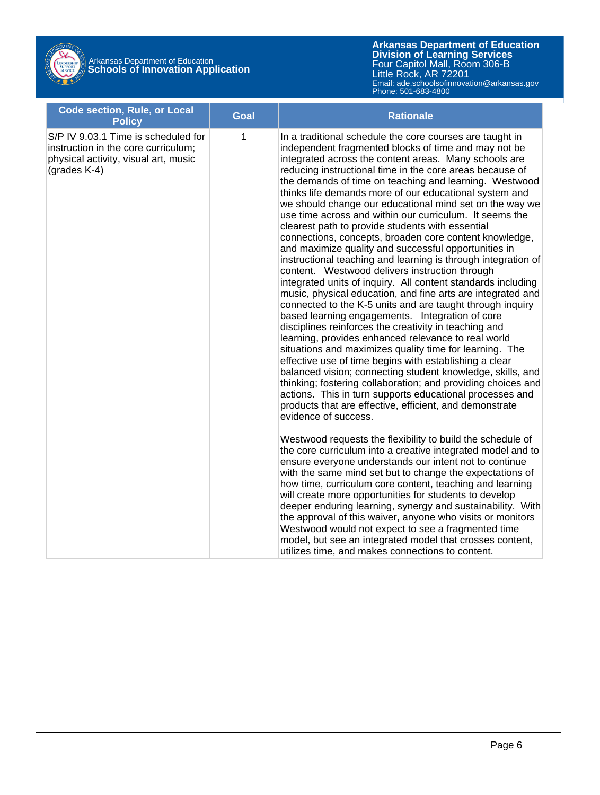# Arkansas Department of Education **Schools of Innovation Application**

| <b>Code section, Rule, or Local</b><br><b>Policy</b>                                                                                  | <b>Goal</b> | <b>Rationale</b>                                                                                                                                                                                                                                                                                                                                                                                                                                                                                                                                                                                                                                                                                                                                                                                                                                                                                                                                                                                                                                                                                                                                                                                                                                                                                                                                                                                                                                                                                                                          |
|---------------------------------------------------------------------------------------------------------------------------------------|-------------|-------------------------------------------------------------------------------------------------------------------------------------------------------------------------------------------------------------------------------------------------------------------------------------------------------------------------------------------------------------------------------------------------------------------------------------------------------------------------------------------------------------------------------------------------------------------------------------------------------------------------------------------------------------------------------------------------------------------------------------------------------------------------------------------------------------------------------------------------------------------------------------------------------------------------------------------------------------------------------------------------------------------------------------------------------------------------------------------------------------------------------------------------------------------------------------------------------------------------------------------------------------------------------------------------------------------------------------------------------------------------------------------------------------------------------------------------------------------------------------------------------------------------------------------|
| S/P IV 9.03.1 Time is scheduled for<br>instruction in the core curriculum;<br>physical activity, visual art, music<br>(grades $K-4$ ) | 1           | In a traditional schedule the core courses are taught in<br>independent fragmented blocks of time and may not be<br>integrated across the content areas. Many schools are<br>reducing instructional time in the core areas because of<br>the demands of time on teaching and learning. Westwood<br>thinks life demands more of our educational system and<br>we should change our educational mind set on the way we<br>use time across and within our curriculum. It seems the<br>clearest path to provide students with essential<br>connections, concepts, broaden core content knowledge,<br>and maximize quality and successful opportunities in<br>instructional teaching and learning is through integration of<br>content. Westwood delivers instruction through<br>integrated units of inquiry. All content standards including<br>music, physical education, and fine arts are integrated and<br>connected to the K-5 units and are taught through inquiry<br>based learning engagements. Integration of core<br>disciplines reinforces the creativity in teaching and<br>learning, provides enhanced relevance to real world<br>situations and maximizes quality time for learning. The<br>effective use of time begins with establishing a clear<br>balanced vision; connecting student knowledge, skills, and<br>thinking; fostering collaboration; and providing choices and<br>actions. This in turn supports educational processes and<br>products that are effective, efficient, and demonstrate<br>evidence of success. |
|                                                                                                                                       |             | Westwood requests the flexibility to build the schedule of<br>the core curriculum into a creative integrated model and to<br>ensure everyone understands our intent not to continue<br>with the same mind set but to change the expectations of<br>how time, curriculum core content, teaching and learning<br>will create more opportunities for students to develop<br>deeper enduring learning, synergy and sustainability. With<br>the approval of this waiver, anyone who visits or monitors<br>Westwood would not expect to see a fragmented time<br>model, but see an integrated model that crosses content,<br>utilizes time, and makes connections to content.                                                                                                                                                                                                                                                                                                                                                                                                                                                                                                                                                                                                                                                                                                                                                                                                                                                                   |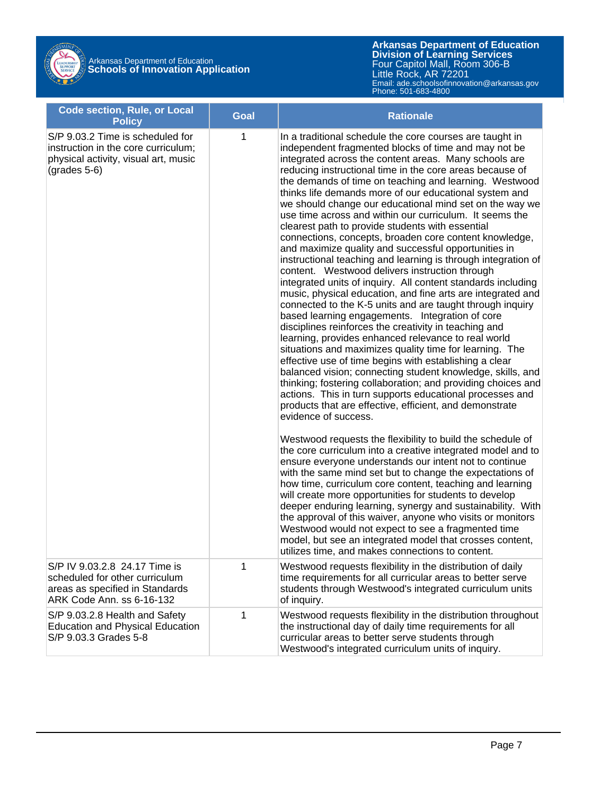# Arkansas Department of Education **Schools of Innovation Application**

| <b>Code section, Rule, or Local</b><br><b>Policy</b>                                                                              | Goal         | <b>Rationale</b>                                                                                                                                                                                                                                                                                                                                                                                                                                                                                                                                                                                                                                                                                                                                                                                                                                                                                                                                                                                                                                                                                                                                                                                                                                                                                                                                                                                                                                                                                                                                                                                                                                                                                                                                                                             |
|-----------------------------------------------------------------------------------------------------------------------------------|--------------|----------------------------------------------------------------------------------------------------------------------------------------------------------------------------------------------------------------------------------------------------------------------------------------------------------------------------------------------------------------------------------------------------------------------------------------------------------------------------------------------------------------------------------------------------------------------------------------------------------------------------------------------------------------------------------------------------------------------------------------------------------------------------------------------------------------------------------------------------------------------------------------------------------------------------------------------------------------------------------------------------------------------------------------------------------------------------------------------------------------------------------------------------------------------------------------------------------------------------------------------------------------------------------------------------------------------------------------------------------------------------------------------------------------------------------------------------------------------------------------------------------------------------------------------------------------------------------------------------------------------------------------------------------------------------------------------------------------------------------------------------------------------------------------------|
| S/P 9.03.2 Time is scheduled for<br>instruction in the core curriculum;<br>physical activity, visual art, music<br>$(grades 5-6)$ | $\mathbf{1}$ | In a traditional schedule the core courses are taught in<br>independent fragmented blocks of time and may not be<br>integrated across the content areas. Many schools are<br>reducing instructional time in the core areas because of<br>the demands of time on teaching and learning. Westwood<br>thinks life demands more of our educational system and<br>we should change our educational mind set on the way we<br>use time across and within our curriculum. It seems the<br>clearest path to provide students with essential<br>connections, concepts, broaden core content knowledge,<br>and maximize quality and successful opportunities in<br>instructional teaching and learning is through integration of<br>content. Westwood delivers instruction through<br>integrated units of inquiry. All content standards including<br>music, physical education, and fine arts are integrated and<br>connected to the K-5 units and are taught through inquiry<br>based learning engagements. Integration of core<br>disciplines reinforces the creativity in teaching and<br>learning, provides enhanced relevance to real world<br>situations and maximizes quality time for learning. The<br>effective use of time begins with establishing a clear<br>balanced vision; connecting student knowledge, skills, and<br>thinking; fostering collaboration; and providing choices and<br>actions. This in turn supports educational processes and<br>products that are effective, efficient, and demonstrate<br>evidence of success.<br>Westwood requests the flexibility to build the schedule of<br>the core curriculum into a creative integrated model and to<br>ensure everyone understands our intent not to continue<br>with the same mind set but to change the expectations of |
|                                                                                                                                   |              | how time, curriculum core content, teaching and learning<br>will create more opportunities for students to develop<br>deeper enduring learning, synergy and sustainability. With<br>the approval of this waiver, anyone who visits or monitors<br>Westwood would not expect to see a fragmented time<br>model, but see an integrated model that crosses content,<br>utilizes time, and makes connections to content.                                                                                                                                                                                                                                                                                                                                                                                                                                                                                                                                                                                                                                                                                                                                                                                                                                                                                                                                                                                                                                                                                                                                                                                                                                                                                                                                                                         |
| S/P IV 9.03.2.8 24.17 Time is<br>scheduled for other curriculum<br>areas as specified in Standards<br>ARK Code Ann. ss 6-16-132   | 1            | Westwood requests flexibility in the distribution of daily<br>time requirements for all curricular areas to better serve<br>students through Westwood's integrated curriculum units<br>of inquiry.                                                                                                                                                                                                                                                                                                                                                                                                                                                                                                                                                                                                                                                                                                                                                                                                                                                                                                                                                                                                                                                                                                                                                                                                                                                                                                                                                                                                                                                                                                                                                                                           |
| S/P 9.03.2.8 Health and Safety<br><b>Education and Physical Education</b><br>S/P 9.03.3 Grades 5-8                                | 1            | Westwood requests flexibility in the distribution throughout<br>the instructional day of daily time requirements for all<br>curricular areas to better serve students through<br>Westwood's integrated curriculum units of inquiry.                                                                                                                                                                                                                                                                                                                                                                                                                                                                                                                                                                                                                                                                                                                                                                                                                                                                                                                                                                                                                                                                                                                                                                                                                                                                                                                                                                                                                                                                                                                                                          |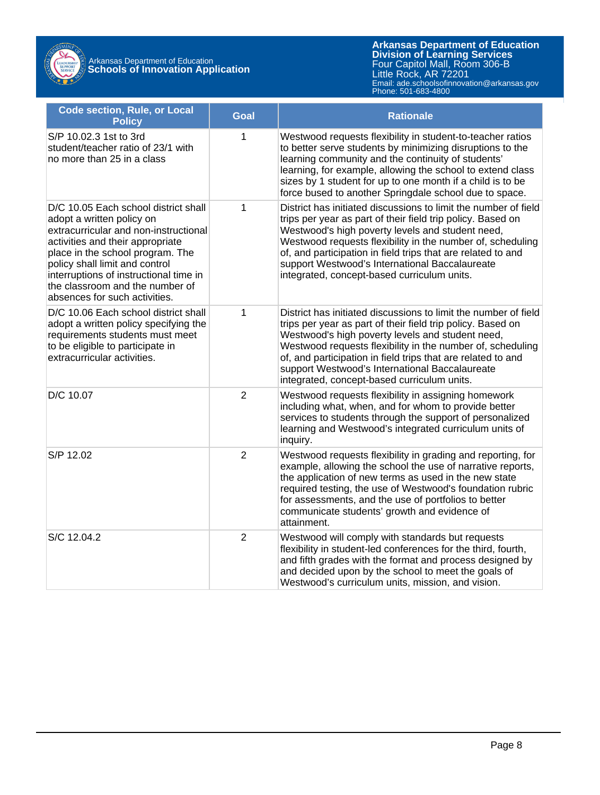

Arkansas Department of Education **Schools of Innovation Application**

| <b>Code section, Rule, or Local</b><br><b>Policy</b>                                                                                                                                                                                                                                                                               | <b>Goal</b>    | <b>Rationale</b>                                                                                                                                                                                                                                                                                                                                                                                                  |
|------------------------------------------------------------------------------------------------------------------------------------------------------------------------------------------------------------------------------------------------------------------------------------------------------------------------------------|----------------|-------------------------------------------------------------------------------------------------------------------------------------------------------------------------------------------------------------------------------------------------------------------------------------------------------------------------------------------------------------------------------------------------------------------|
| S/P 10.02.3 1st to 3rd<br>student/teacher ratio of 23/1 with<br>no more than 25 in a class                                                                                                                                                                                                                                         | 1              | Westwood requests flexibility in student-to-teacher ratios<br>to better serve students by minimizing disruptions to the<br>learning community and the continuity of students'<br>learning, for example, allowing the school to extend class<br>sizes by 1 student for up to one month if a child is to be<br>force bused to another Springdale school due to space.                                               |
| D/C 10.05 Each school district shall<br>adopt a written policy on<br>extracurricular and non-instructional<br>activities and their appropriate<br>place in the school program. The<br>policy shall limit and control<br>interruptions of instructional time in<br>the classroom and the number of<br>absences for such activities. | 1              | District has initiated discussions to limit the number of field<br>trips per year as part of their field trip policy. Based on<br>Westwood's high poverty levels and student need,<br>Westwood requests flexibility in the number of, scheduling<br>of, and participation in field trips that are related to and<br>support Westwood's International Baccalaureate<br>integrated, concept-based curriculum units. |
| D/C 10.06 Each school district shall<br>adopt a written policy specifying the<br>requirements students must meet<br>to be eligible to participate in<br>extracurricular activities.                                                                                                                                                | $\mathbf{1}$   | District has initiated discussions to limit the number of field<br>trips per year as part of their field trip policy. Based on<br>Westwood's high poverty levels and student need,<br>Westwood requests flexibility in the number of, scheduling<br>of, and participation in field trips that are related to and<br>support Westwood's International Baccalaureate<br>integrated, concept-based curriculum units. |
| D/C 10.07                                                                                                                                                                                                                                                                                                                          | $\overline{2}$ | Westwood requests flexibility in assigning homework<br>including what, when, and for whom to provide better<br>services to students through the support of personalized<br>learning and Westwood's integrated curriculum units of<br>inquiry.                                                                                                                                                                     |
| S/P 12.02                                                                                                                                                                                                                                                                                                                          | $\overline{2}$ | Westwood requests flexibility in grading and reporting, for<br>example, allowing the school the use of narrative reports,<br>the application of new terms as used in the new state<br>required testing, the use of Westwood's foundation rubric<br>for assessments, and the use of portfolios to better<br>communicate students' growth and evidence of<br>attainment.                                            |
| S/C 12.04.2                                                                                                                                                                                                                                                                                                                        | $\overline{2}$ | Westwood will comply with standards but requests<br>flexibility in student-led conferences for the third, fourth,<br>and fifth grades with the format and process designed by<br>and decided upon by the school to meet the goals of<br>Westwood's curriculum units, mission, and vision.                                                                                                                         |